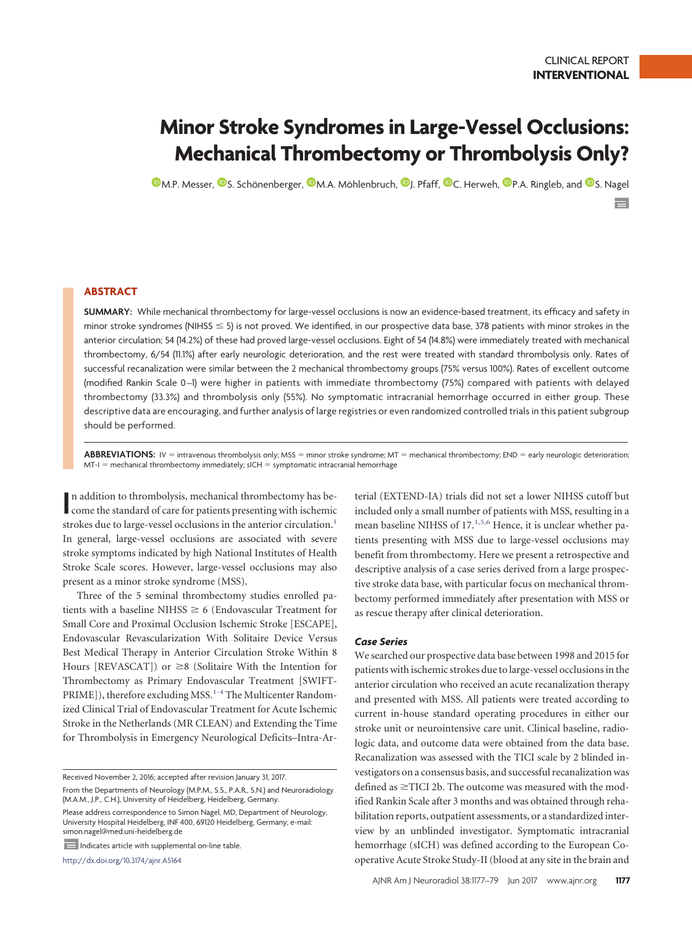$=$ 

# **Minor Stroke Syndromes in Large-Vessel Occlusions: Mechanical Thrombectomy or Thrombolysis Only?**

**O**[M.P. Messer,](http://orcid.org/0000-0002-4208-4789) **O**S. Schönenberger, **O**M.A. Möhlenbruch, **O**[J. Pfaff,](http://orcid.org/0000-0003-0672-5718) **O**[C. Herweh,](http://orcid.org/0000-0002-9223-9662) **O**[P.A. Ringleb,](http://orcid.org/0000-0002-5473-8671) and **O**[S. Nagel](http://orcid.org/0000-0003-2471-6647)

# **ABSTRACT**

**SUMMARY:** While mechanical thrombectomy for large-vessel occlusions is now an evidence-based treatment, its efficacy and safety in minor stroke syndromes (NIHSS  $\leq$  5) is not proved. We identified, in our prospective data base, 378 patients with minor strokes in the anterior circulation; 54 (14.2%) of these had proved large-vessel occlusions. Eight of 54 (14.8%) were immediately treated with mechanical thrombectomy, 6/54 (11.1%) after early neurologic deterioration, and the rest were treated with standard thrombolysis only. Rates of successful recanalization were similar between the 2 mechanical thrombectomy groups (75% versus 100%). Rates of excellent outcome (modified Rankin Scale 0 –1) were higher in patients with immediate thrombectomy (75%) compared with patients with delayed thrombectomy (33.3%) and thrombolysis only (55%). No symptomatic intracranial hemorrhage occurred in either group. These descriptive data are encouraging, and further analysis of large registries or even randomized controlled trials in this patient subgroup should be performed.

ABBREVIATIONS: IV = intravenous thrombolysis only; MSS = minor stroke syndrome; MT = mechanical thrombectomy; END = early neurologic deterioration; MT-I = mechanical thrombectomy immediately; sICH = symptomatic intracranial hemorrhage

In addition to thrombolysis, mechanical thrombectomy has become the standard of care for patients presenting with ischemic n addition to thrombolysis, mechanical thrombectomy has bestrokes due to large-vessel occlusions in the anterior circulation.<sup>1</sup> In general, large-vessel occlusions are associated with severe stroke symptoms indicated by high National Institutes of Health Stroke Scale scores. However, large-vessel occlusions may also present as a minor stroke syndrome (MSS).

Three of the 5 seminal thrombectomy studies enrolled patients with a baseline NIHSS  $\geq 6$  (Endovascular Treatment for Small Core and Proximal Occlusion Ischemic Stroke [ESCAPE], Endovascular Revascularization With Solitaire Device Versus Best Medical Therapy in Anterior Circulation Stroke Within 8 Hours [REVASCAT]) or  $\geq 8$  (Solitaire With the Intention for Thrombectomy as Primary Endovascular Treatment [SWIFT-PRIME]), therefore excluding MSS.<sup>1-[4](#page-2-1)</sup> The Multicenter Randomized Clinical Trial of Endovascular Treatment for Acute Ischemic Stroke in the Netherlands (MR CLEAN) and Extending the Time for Thrombolysis in Emergency Neurological Deficits–Intra-Ar-

From the Departments of Neurology (M.P.M., S.S., P.A.R., S.N.) and Neuroradiology (M.A.M., J.P., C.H.), University of Heidelberg, Heidelberg, Germany. Please address correspondence to Simon Nagel, MD, Department of Neurology,

University Hospital Heidelberg, INF 400, 69120 Heidelberg, Germany; e-mail: simon.nagel@med.uni-heidelberg.de

Indicates article with supplemental on-line table.

http://dx.doi.org/10.3174/ajnr.A5164

terial (EXTEND-IA) trials did not set a lower NIHSS cutoff but included only a small number of patients with MSS, resulting in a mean baseline NIHSS of 17.<sup>1,[5,](#page-2-2)[6](#page-2-3)</sup> Hence, it is unclear whether patients presenting with MSS due to large-vessel occlusions may benefit from thrombectomy. Here we present a retrospective and descriptive analysis of a case series derived from a large prospective stroke data base, with particular focus on mechanical thrombectomy performed immediately after presentation with MSS or as rescue therapy after clinical deterioration.

## *Case Series*

We searched our prospective data base between 1998 and 2015 for patients with ischemic strokes due to large-vessel occlusions in the anterior circulation who received an acute recanalization therapy and presented with MSS. All patients were treated according to current in-house standard operating procedures in either our stroke unit or neurointensive care unit. Clinical baseline, radiologic data, and outcome data were obtained from the data base. Recanalization was assessed with the TICI scale by 2 blinded investigators on a consensus basis, and successful recanalization was defined as  $\geq$ TICI 2b. The outcome was measured with the modified Rankin Scale after 3 months and was obtained through rehabilitation reports, outpatient assessments, or a standardized interview by an unblinded investigator. Symptomatic intracranial hemorrhage (sICH) was defined according to the European Cooperative Acute Stroke Study-II (blood at any site in the brain and

Received November 2, 2016; accepted after revision January 31, 2017.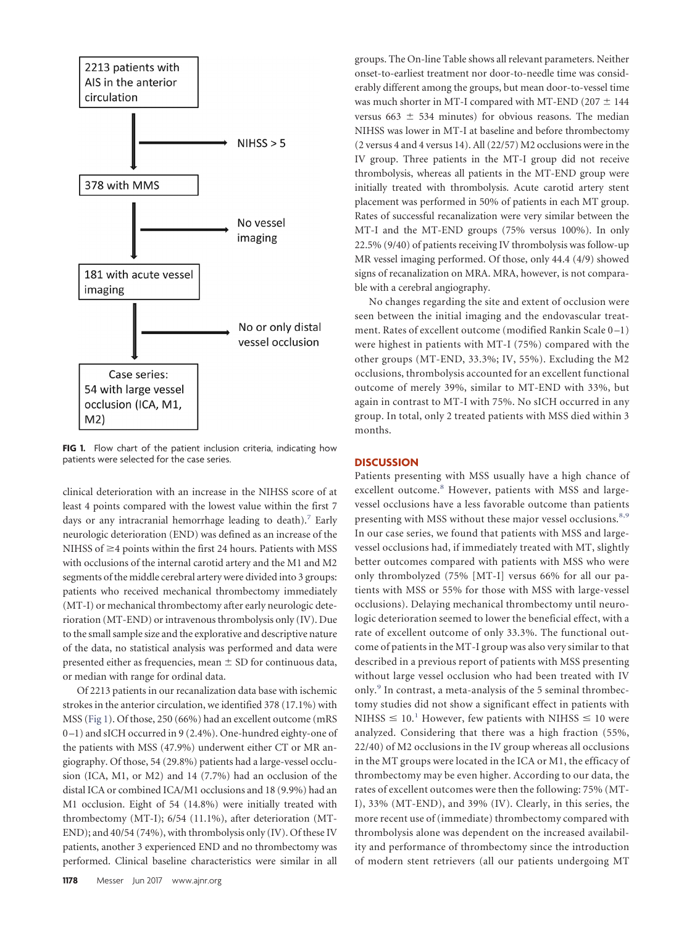<span id="page-1-0"></span>

**FIG 1.** Flow chart of the patient inclusion criteria, indicating how patients were selected for the case series.

clinical deterioration with an increase in the NIHSS score of at least 4 points compared with the lowest value within the first 7 days or any intracranial hemorrhage leading to death).<sup>7</sup> Early neurologic deterioration (END) was defined as an increase of the NIHSS of  $\geq$ 4 points within the first 24 hours. Patients with MSS with occlusions of the internal carotid artery and the M1 and M2 segments of the middle cerebral artery were divided into 3 groups: patients who received mechanical thrombectomy immediately (MT-I) or mechanical thrombectomy after early neurologic deterioration (MT-END) or intravenous thrombolysis only (IV). Due to the small sample size and the explorative and descriptive nature of the data, no statistical analysis was performed and data were presented either as frequencies, mean  $\pm$  SD for continuous data, or median with range for ordinal data.

Of 2213 patients in our recanalization data base with ischemic strokes in the anterior circulation, we identified 378 (17.1%) with MSS [\(Fig 1\)](#page-1-0). Of those, 250 (66%) had an excellent outcome (mRS 0 –1) and sICH occurred in 9 (2.4%). One-hundred eighty-one of the patients with MSS (47.9%) underwent either CT or MR angiography. Of those, 54 (29.8%) patients had a large-vessel occlusion (ICA, M1, or M2) and 14 (7.7%) had an occlusion of the distal ICA or combined ICA/M1 occlusions and 18 (9.9%) had an M1 occlusion. Eight of 54 (14.8%) were initially treated with thrombectomy (MT-I); 6/54 (11.1%), after deterioration (MT-END); and 40/54 (74%), with thrombolysis only (IV). Of these IV patients, another 3 experienced END and no thrombectomy was performed. Clinical baseline characteristics were similar in all

groups. The On-line Table shows all relevant parameters. Neither onset-to-earliest treatment nor door-to-needle time was considerably different among the groups, but mean door-to-vessel time was much shorter in MT-I compared with MT-END (207  $\pm$  144 versus 663  $\pm$  534 minutes) for obvious reasons. The median NIHSS was lower in MT-I at baseline and before thrombectomy (2 versus 4 and 4 versus 14). All (22/57) M2 occlusions were in the IV group. Three patients in the MT-I group did not receive thrombolysis, whereas all patients in the MT-END group were initially treated with thrombolysis. Acute carotid artery stent placement was performed in 50% of patients in each MT group. Rates of successful recanalization were very similar between the MT-I and the MT-END groups (75% versus 100%). In only 22.5% (9/40) of patients receiving IV thrombolysis was follow-up MR vessel imaging performed. Of those, only 44.4 (4/9) showed signs of recanalization on MRA. MRA, however, is not comparable with a cerebral angiography.

No changes regarding the site and extent of occlusion were seen between the initial imaging and the endovascular treatment. Rates of excellent outcome (modified Rankin Scale 0-1) were highest in patients with MT-I (75%) compared with the other groups (MT-END, 33.3%; IV, 55%). Excluding the M2 occlusions, thrombolysis accounted for an excellent functional outcome of merely 39%, similar to MT-END with 33%, but again in contrast to MT-I with 75%. No sICH occurred in any group. In total, only 2 treated patients with MSS died within 3 months.

### **DISCUSSION**

Patients presenting with MSS usually have a high chance of excellent outcome.<sup>[8](#page-2-5)</sup> However, patients with MSS and largevessel occlusions have a less favorable outcome than patients presenting with MSS without these major vessel occlusions.<sup>[8,](#page-2-5)[9](#page-2-6)</sup> In our case series, we found that patients with MSS and largevessel occlusions had, if immediately treated with MT, slightly better outcomes compared with patients with MSS who were only thrombolyzed (75% [MT-I] versus 66% for all our patients with MSS or 55% for those with MSS with large-vessel occlusions). Delaying mechanical thrombectomy until neurologic deterioration seemed to lower the beneficial effect, with a rate of excellent outcome of only 33.3%. The functional outcome of patients in the MT-I group was also very similar to that described in a previous report of patients with MSS presenting without large vessel occlusion who had been treated with IV only.<sup>[9](#page-2-6)</sup> In contrast, a meta-analysis of the 5 seminal thrombectomy studies did not show a significant effect in patients with NIHSS  $\leq 10$  $\leq 10$  $\leq 10$ .<sup>1</sup> However, few patients with NIHSS  $\leq 10$  were analyzed. Considering that there was a high fraction (55%, 22/40) of M2 occlusions in the IV group whereas all occlusions in the MT groups were located in the ICA or M1, the efficacy of thrombectomy may be even higher. According to our data, the rates of excellent outcomes were then the following: 75% (MT-I), 33% (MT-END), and 39% (IV). Clearly, in this series, the more recent use of (immediate) thrombectomy compared with thrombolysis alone was dependent on the increased availability and performance of thrombectomy since the introduction of modern stent retrievers (all our patients undergoing MT